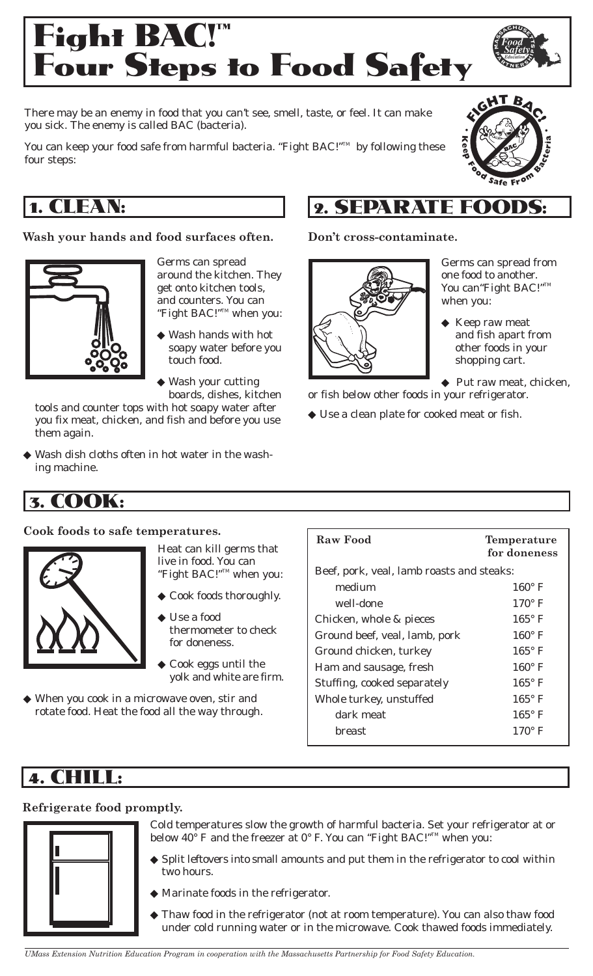

There may be an enemy in food that you can't see, smell, taste, or feel. It can make you sick. The enemy is called BAC (bacteria).

You can keep your food safe from harmful bacteria. "Fight BAC!"<sup>M</sup> by following these four steps:

## 1. CLEAN:

## **Wash your hands and food surfaces often.**



- Germs can spread around the kitchen. They get onto kitchen tools, and counters. You can "Fight BAC!"TM when you:
	- Wash hands with hot soapy water before you touch food.
- ◆ Wash your cutting boards, dishes, kitchen

tools and counter tops with hot soapy water after you fix meat, chicken, and fish and before you use them again.

◆ Wash dish cloths often in hot water in the washing machine.

## 3. COOK:

#### **Cook foods to safe temperatures.**



Heat can kill germs that live in food. You can "Fight BAC!"TM when you:

- ◆ Cook foods thoroughly.
- ◆ Use a food thermometer to check for doneness.
- Cook eggs until the yolk and white are firm.
- ◆ When you cook in a microwave oven, stir and rotate food. Heat the food all the way through.

## **Raw Food Temperature for doneness**  Beef, pork, veal, lamb roasts and steaks: medium 160° F well-done 170° F Chicken, whole & pieces  $165^{\circ}$  F Ground beef, veal, lamb, pork 160° F Ground chicken, turkey 165° F Ham and sausage, fresh 160° F Stuffing, cooked separately 165° F Whole turkey, unstuffed  $165^{\circ}$  F dark meat 165° F breast 170° F

## 4. CHILL:

## **Refrigerate food promptly.**



- Cold temperatures slow the growth of harmful bacteria. Set your refrigerator at or below 40° F and the freezer at 0° F. You can "Fight BAC!"<sup>™</sup> when you:
- ◆ Split leftovers into small amounts and put them in the refrigerator to cool within two hours.
- ◆ Marinate foods in the refrigerator.
- ◆ Thaw food in the refrigerator (not at room temperature). You can also thaw food under cold running water or in the microwave. Cook thawed foods immediately.

# 2. SEPARATE FOODS:

## **Don't cross-contaminate.**



Germs can spread from one food to another. You can<br/>"Fight BAC!"<br/>  $\hfill$ when you:

- ◆ Keep raw meat and fish apart from other foods in your shopping cart.
- ◆ Put raw meat, chicken,

or fish below other foods in your refrigerator.

◆ Use a clean plate for cooked meat or fish.